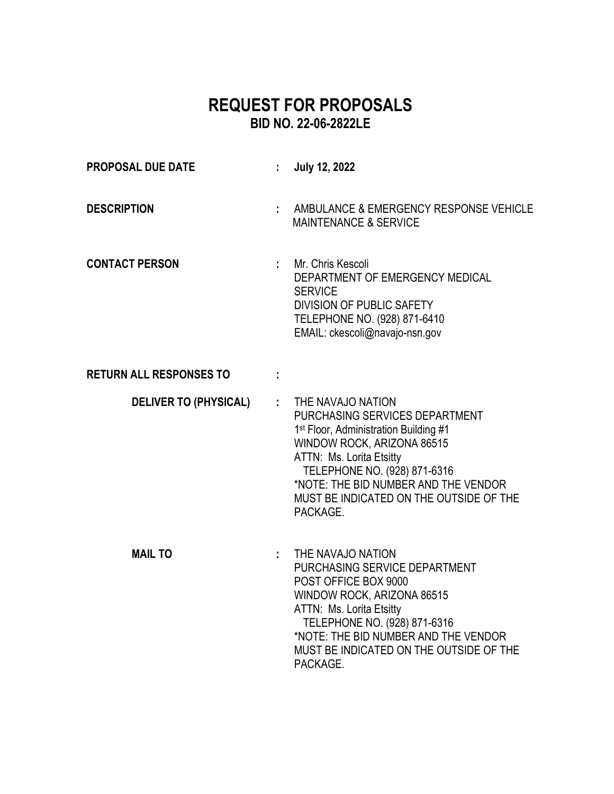# **REQUEST FOR PROPOSALS BID NO. 22-06-2822LE**

| <b>PROPOSAL DUE DATE</b>       |    | <b>July 12, 2022</b>                                                                                                                                                                                                                                                                              |
|--------------------------------|----|---------------------------------------------------------------------------------------------------------------------------------------------------------------------------------------------------------------------------------------------------------------------------------------------------|
| <b>DESCRIPTION</b>             |    | AMBULANCE & EMERGENCY RESPONSE VEHICLE<br><b>MAINTENANCE &amp; SERVICE</b>                                                                                                                                                                                                                        |
| <b>CONTACT PERSON</b>          |    | Mr. Chris Kescoli<br>DEPARTMENT OF EMERGENCY MEDICAL<br><b>SERVICE</b><br><b>DIVISION OF PUBLIC SAFETY</b><br>TELEPHONE NO. (928) 871-6410<br>EMAIL: ckescoli@navajo-nsn.gov                                                                                                                      |
| <b>RETURN ALL RESPONSES TO</b> |    |                                                                                                                                                                                                                                                                                                   |
| <b>DELIVER TO (PHYSICAL)</b>   | ÷. | THE NAVAJO NATION<br>PURCHASING SERVICES DEPARTMENT<br>1 <sup>st</sup> Floor, Administration Building #1<br>WINDOW ROCK, ARIZONA 86515<br>ATTN: Ms. Lorita Etsitty<br>TELEPHONE NO. (928) 871-6316<br>*NOTE: THE BID NUMBER AND THE VENDOR<br>MUST BE INDICATED ON THE OUTSIDE OF THE<br>PACKAGE. |
| <b>MAIL TO</b>                 |    | THE NAVAJO NATION<br>PURCHASING SERVICE DEPARTMENT<br>POST OFFICE BOX 9000<br>WINDOW ROCK, ARIZONA 86515<br>ATTN: Ms. Lorita Etsitty<br>TELEPHONE NO. (928) 871-6316<br>*NOTE: THE BID NUMBER AND THE VENDOR<br>MUST BE INDICATED ON THE OUTSIDE OF THE<br>PACKAGE.                               |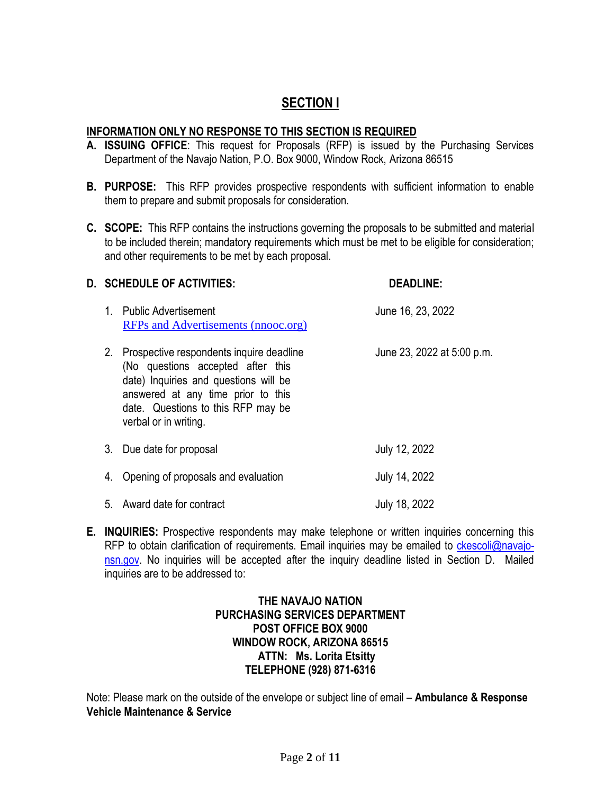# **SECTION I**

# **INFORMATION ONLY NO RESPONSE TO THIS SECTION IS REQUIRED**

- **A. ISSUING OFFICE**: This request for Proposals (RFP) is issued by the Purchasing Services Department of the Navajo Nation, P.O. Box 9000, Window Rock, Arizona 86515
- **B. PURPOSE:** This RFP provides prospective respondents with sufficient information to enable them to prepare and submit proposals for consideration.
- **C. SCOPE:** This RFP contains the instructions governing the proposals to be submitted and material to be included therein; mandatory requirements which must be met to be eligible for consideration; and other requirements to be met by each proposal.

### **D. SCHEDULE OF ACTIVITIES: DEADLINE:**

- 1. Public Advertisement 1. Compared 1. Public Advertisement [RFPs and Advertisements \(nnooc.org\)](https://www.nnooc.org/RFPs-Advertisements.html)
- 2. Prospective respondents inquire deadline June 23, 2022 at 5:00 p.m. (No questions accepted after this date) Inquiries and questions will be answered at any time prior to this date. Questions to this RFP may be verbal or in writing. 3. Due date for proposal July 12, 2022
- 4. Opening of proposals and evaluation Fig. 2022
- 5. Award date for contract July 18, 2022
- **E. INQUIRIES:** Prospective respondents may make telephone or written inquiries concerning this RFP to obtain clarification of requirements. Email inquiries may be emailed to [ckescoli@navajo](mailto:ckescoli@navajo-nsn.gov)[nsn.gov.](mailto:ckescoli@navajo-nsn.gov) No inquiries will be accepted after the inquiry deadline listed in Section D. Mailed inquiries are to be addressed to:

# **THE NAVAJO NATION PURCHASING SERVICES DEPARTMENT POST OFFICE BOX 9000 WINDOW ROCK, ARIZONA 86515 ATTN: Ms. Lorita Etsitty TELEPHONE (928) 871-6316**

Note: Please mark on the outside of the envelope or subject line of email – **Ambulance & Response Vehicle Maintenance & Service**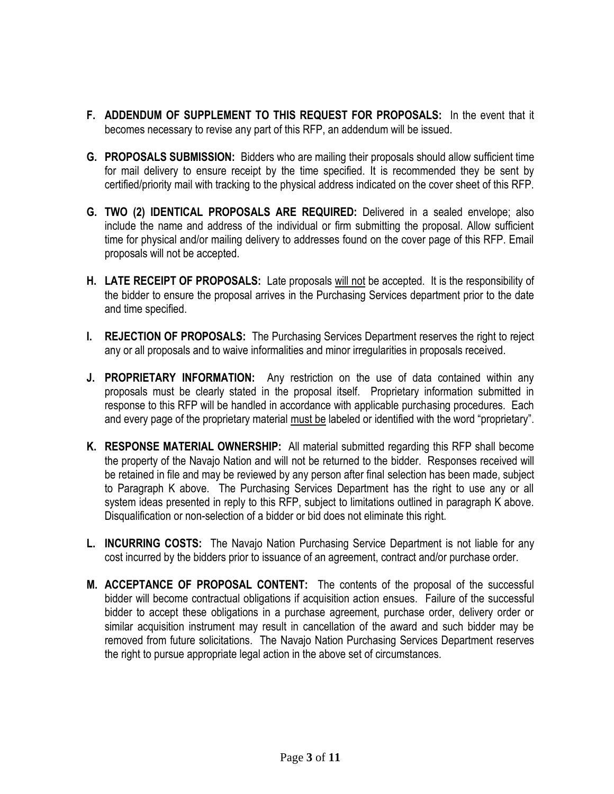- **F. ADDENDUM OF SUPPLEMENT TO THIS REQUEST FOR PROPOSALS:** In the event that it becomes necessary to revise any part of this RFP, an addendum will be issued.
- **G. PROPOSALS SUBMISSION:** Bidders who are mailing their proposals should allow sufficient time for mail delivery to ensure receipt by the time specified. It is recommended they be sent by certified/priority mail with tracking to the physical address indicated on the cover sheet of this RFP.
- **G. TWO (2) IDENTICAL PROPOSALS ARE REQUIRED:** Delivered in a sealed envelope; also include the name and address of the individual or firm submitting the proposal. Allow sufficient time for physical and/or mailing delivery to addresses found on the cover page of this RFP. Email proposals will not be accepted.
- **H. LATE RECEIPT OF PROPOSALS:** Late proposals will not be accepted. It is the responsibility of the bidder to ensure the proposal arrives in the Purchasing Services department prior to the date and time specified.
- **I. REJECTION OF PROPOSALS:** The Purchasing Services Department reserves the right to reject any or all proposals and to waive informalities and minor irregularities in proposals received.
- **J. PROPRIETARY INFORMATION:** Any restriction on the use of data contained within any proposals must be clearly stated in the proposal itself. Proprietary information submitted in response to this RFP will be handled in accordance with applicable purchasing procedures. Each and every page of the proprietary material must be labeled or identified with the word "proprietary".
- **K. RESPONSE MATERIAL OWNERSHIP:** All material submitted regarding this RFP shall become the property of the Navajo Nation and will not be returned to the bidder. Responses received will be retained in file and may be reviewed by any person after final selection has been made, subject to Paragraph K above. The Purchasing Services Department has the right to use any or all system ideas presented in reply to this RFP, subject to limitations outlined in paragraph K above. Disqualification or non-selection of a bidder or bid does not eliminate this right.
- **L. INCURRING COSTS:** The Navajo Nation Purchasing Service Department is not liable for any cost incurred by the bidders prior to issuance of an agreement, contract and/or purchase order.
- **M. ACCEPTANCE OF PROPOSAL CONTENT:** The contents of the proposal of the successful bidder will become contractual obligations if acquisition action ensues. Failure of the successful bidder to accept these obligations in a purchase agreement, purchase order, delivery order or similar acquisition instrument may result in cancellation of the award and such bidder may be removed from future solicitations. The Navajo Nation Purchasing Services Department reserves the right to pursue appropriate legal action in the above set of circumstances.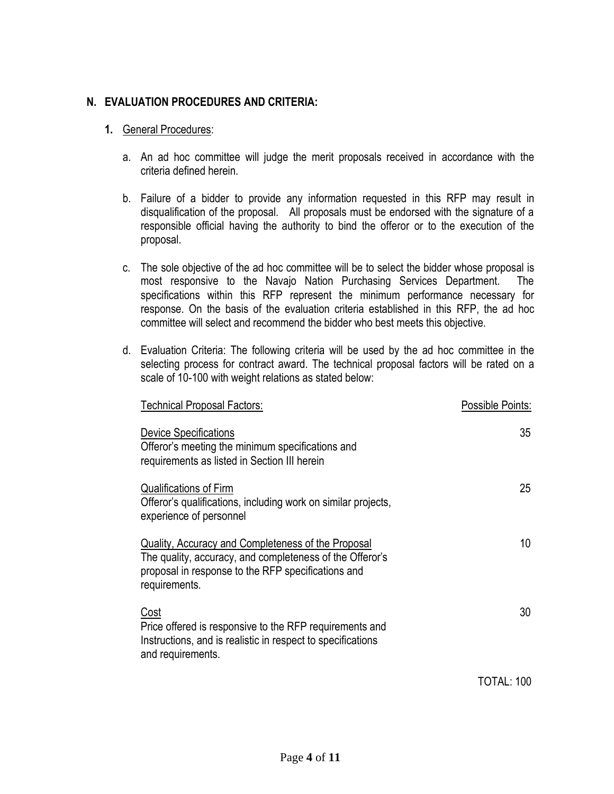# **N. EVALUATION PROCEDURES AND CRITERIA:**

## **1.** General Procedures:

- a. An ad hoc committee will judge the merit proposals received in accordance with the criteria defined herein.
- b. Failure of a bidder to provide any information requested in this RFP may result in disqualification of the proposal. All proposals must be endorsed with the signature of a responsible official having the authority to bind the offeror or to the execution of the proposal.
- c. The sole objective of the ad hoc committee will be to select the bidder whose proposal is most responsive to the Navajo Nation Purchasing Services Department. The specifications within this RFP represent the minimum performance necessary for response. On the basis of the evaluation criteria established in this RFP, the ad hoc committee will select and recommend the bidder who best meets this objective.
- d. Evaluation Criteria: The following criteria will be used by the ad hoc committee in the selecting process for contract award. The technical proposal factors will be rated on a scale of 10-100 with weight relations as stated below:

| Technical Proposal Factors:                                                                                                                                                           | Possible Points: |
|---------------------------------------------------------------------------------------------------------------------------------------------------------------------------------------|------------------|
| <b>Device Specifications</b><br>Offeror's meeting the minimum specifications and<br>requirements as listed in Section III herein                                                      | 35               |
| <b>Qualifications of Firm</b><br>Offeror's qualifications, including work on similar projects,<br>experience of personnel                                                             | 25               |
| Quality, Accuracy and Completeness of the Proposal<br>The quality, accuracy, and completeness of the Offeror's<br>proposal in response to the RFP specifications and<br>requirements. | 10               |
| Cost<br>Price offered is responsive to the RFP requirements and<br>Instructions, and is realistic in respect to specifications<br>and requirements.                                   | 30               |
|                                                                                                                                                                                       | TOTAL: 100       |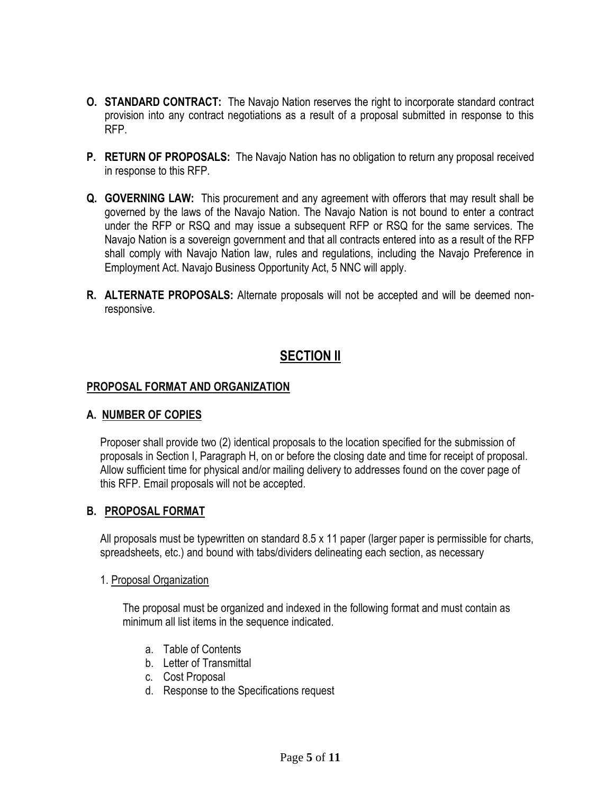- **O. STANDARD CONTRACT:** The Navajo Nation reserves the right to incorporate standard contract provision into any contract negotiations as a result of a proposal submitted in response to this RFP.
- **P. RETURN OF PROPOSALS:** The Navajo Nation has no obligation to return any proposal received in response to this RFP.
- **Q. GOVERNING LAW:** This procurement and any agreement with offerors that may result shall be governed by the laws of the Navajo Nation. The Navajo Nation is not bound to enter a contract under the RFP or RSQ and may issue a subsequent RFP or RSQ for the same services. The Navajo Nation is a sovereign government and that all contracts entered into as a result of the RFP shall comply with Navajo Nation law, rules and regulations, including the Navajo Preference in Employment Act. Navajo Business Opportunity Act, 5 NNC will apply.
- **R. ALTERNATE PROPOSALS:** Alternate proposals will not be accepted and will be deemed nonresponsive.

# **SECTION II**

### **PROPOSAL FORMAT AND ORGANIZATION**

#### **A. NUMBER OF COPIES**

Proposer shall provide two (2) identical proposals to the location specified for the submission of proposals in Section I, Paragraph H, on or before the closing date and time for receipt of proposal. Allow sufficient time for physical and/or mailing delivery to addresses found on the cover page of this RFP. Email proposals will not be accepted.

# **B. PROPOSAL FORMAT**

All proposals must be typewritten on standard 8.5 x 11 paper (larger paper is permissible for charts, spreadsheets, etc.) and bound with tabs/dividers delineating each section, as necessary

#### 1. Proposal Organization

The proposal must be organized and indexed in the following format and must contain as minimum all list items in the sequence indicated.

- a. Table of Contents
- b. Letter of Transmittal
- c. Cost Proposal
- d. Response to the Specifications request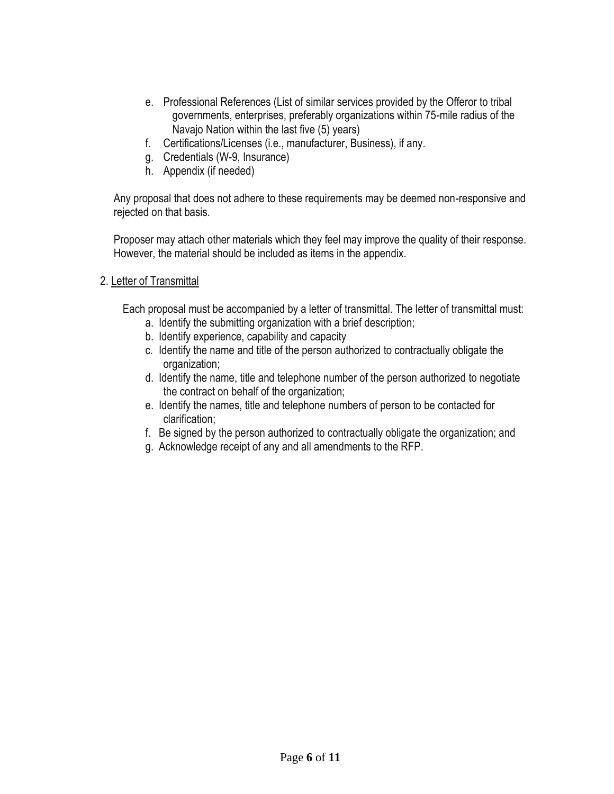- e. Professional References (List of similar services provided by the Offeror to tribal governments, enterprises, preferably organizations within 75-mile radius of the Navajo Nation within the last five (5) years)
- f. Certifications/Licenses (i.e., manufacturer, Business), if any.
- g. Credentials (W-9, Insurance)
- h. Appendix (if needed)

Any proposal that does not adhere to these requirements may be deemed non-responsive and rejected on that basis.

Proposer may attach other materials which they feel may improve the quality of their response. However, the material should be included as items in the appendix.

### 2. Letter of Transmittal

Each proposal must be accompanied by a letter of transmittal. The letter of transmittal must:

- a. Identify the submitting organization with a brief description;
- b. Identify experience, capability and capacity
- c. Identify the name and title of the person authorized to contractually obligate the organization;
- d. Identify the name, title and telephone number of the person authorized to negotiate the contract on behalf of the organization;
- e. Identify the names, title and telephone numbers of person to be contacted for clarification;
- f. Be signed by the person authorized to contractually obligate the organization; and
- g. Acknowledge receipt of any and all amendments to the RFP.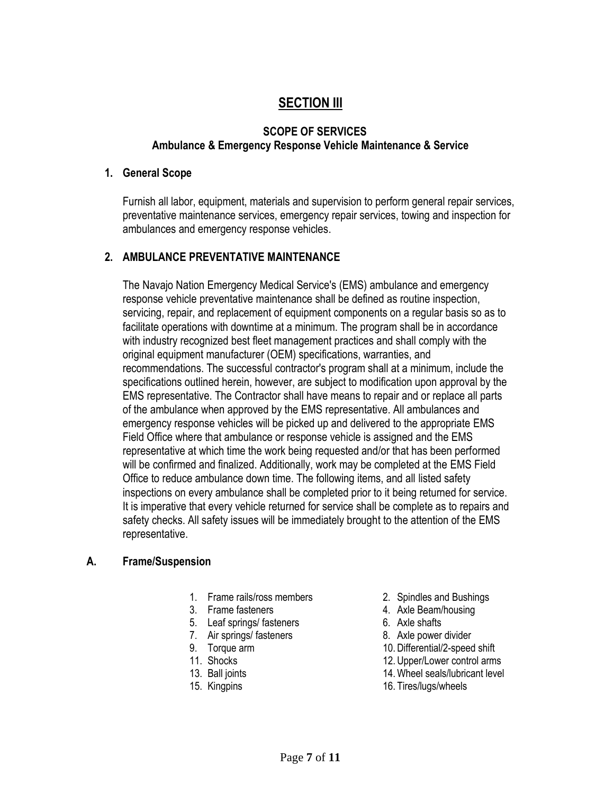# **SECTION III**

# **SCOPE OF SERVICES Ambulance & Emergency Response Vehicle Maintenance & Service**

#### **1. General Scope**

Furnish all labor, equipment, materials and supervision to perform general repair services, preventative maintenance services, emergency repair services, towing and inspection for ambulances and emergency response vehicles.

# **2. AMBULANCE PREVENTATIVE MAINTENANCE**

The Navajo Nation Emergency Medical Service's (EMS) ambulance and emergency response vehicle preventative maintenance shall be defined as routine inspection, servicing, repair, and replacement of equipment components on a regular basis so as to facilitate operations with downtime at a minimum. The program shall be in accordance with industry recognized best fleet management practices and shall comply with the original equipment manufacturer (OEM) specifications, warranties, and recommendations. The successful contractor's program shall at a minimum, include the specifications outlined herein, however, are subject to modification upon approval by the EMS representative. The Contractor shall have means to repair and or replace all parts of the ambulance when approved by the EMS representative. All ambulances and emergency response vehicles will be picked up and delivered to the appropriate EMS Field Office where that ambulance or response vehicle is assigned and the EMS representative at which time the work being requested and/or that has been performed will be confirmed and finalized. Additionally, work may be completed at the EMS Field Office to reduce ambulance down time. The following items, and all listed safety inspections on every ambulance shall be completed prior to it being returned for service. It is imperative that every vehicle returned for service shall be complete as to repairs and safety checks. All safety issues will be immediately brought to the attention of the EMS representative.

# **A. Frame/Suspension**

- 1. Frame rails/ross members 2. Spindles and Bushings
- 
- 5. Leaf springs/ fasteners 6. Axle shafts
- 7. Air springs/ fasteners 8. Axle power divider
- 
- 
- 
- 
- 
- 3. Frame fasteners 1. Axle Beam/housing
	-
	-
- 9. Torque arm 10. Differential/2-speed shift
- 11. Shocks 12. Upper/Lower control arms
- 13. Ball joints 14.Wheel seals/lubricant level
- 15. Kingpins 16. Tires/lugs/wheels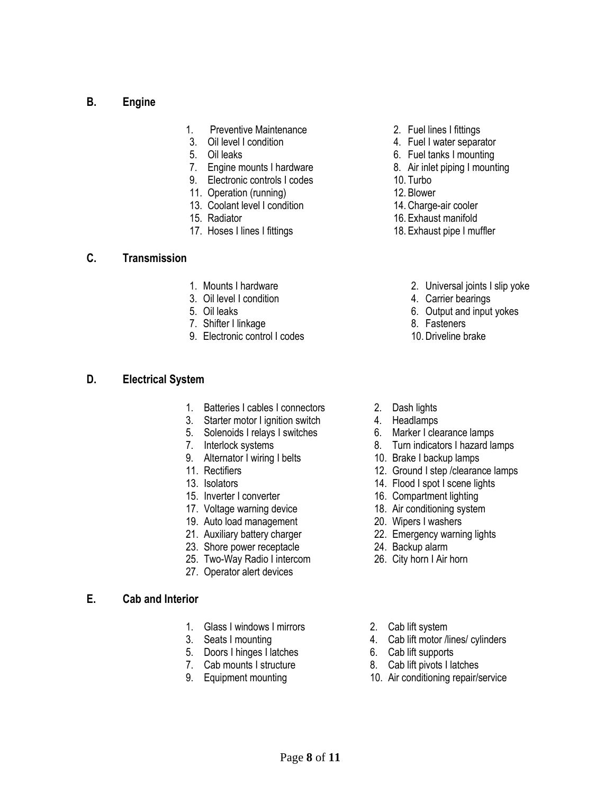### **B. Engine**

- 1. Preventive Maintenance 2. Fuel lines I fittings
- 
- 
- 7. Engine mounts I hardware **8.** Air inlet piping I mounting
- 9. Electronic controls I codes 10. Turbo
- 11. Operation (running) 12. Blower
- 13. Coolant level I condition 14. Charge-air cooler
- 
- 17. Hoses I lines I fittings 18. Exhaust pipe I muffler

#### **C. Transmission**

- 
- 3. Oil level I condition **4. Carrier bearings**
- 
- 7. Shifter I linkage 8. Fasteners
- 9. Electronic control I codes 10. Driveline brake

#### **D. Electrical System**

- 1. Batteries I cables I connectors 2. Dash lights
- 3. Starter motor I ignition switch 4. Headlamps
- 5. Solenoids I relays I switches 6. Marker I clearance lamps
- 
- 9. Alternator I wiring I belts 10. Brake I backup lamps<br>11. Rectifiers 12. Ground I step /clearan
- 
- 
- 
- 
- 19. Auto load management 20. Wipers I washers
- 
- 23. Shore power receptacle 24. Backup alarm
- 25. Two-Way Radio I intercom 26. City horn I Air horn
- 27. Operator alert devices

#### **E. Cab and Interior**

- 1. Glass I windows I mirrors 2. Cab lift system
- 
- 5. Doors I hinges I latches 6. Cab lift supports
- 
- 
- 
- 3. Oil level I condition **4. Fuel I water separator**
- 5. Oil leaks 6. Fuel tanks I mounting
	-
	-
	-
	-
- 15. Radiator 16. Exhaust manifold
	-
- 1. Mounts I hardware 2. Universal joints I slip yoke
	-
- 5. Oil leaks 6. Output and input yokes
	- -
	-
	-
	-
- 7. Interlock systems 8. Turn indicators I hazard lamps
	-
	- 12. Ground I step /clearance lamps
- 13. Isolators 14. Flood I spot I scene lights
- 15. Inverter I converter 16. Compartment lighting
- 17. Voltage warning device 18. Air conditioning system
	-
- 21. Auxiliary battery charger 22. Emergency warning lights
	-
	-
	-
- 3. Seats I mounting and the seats of the 4. Cab lift motor /lines/ cylinders
	-
- 7. Cab mounts I structure 8. Cab lift pivots I latches
- 9. Equipment mounting 10. Air conditioning repair/service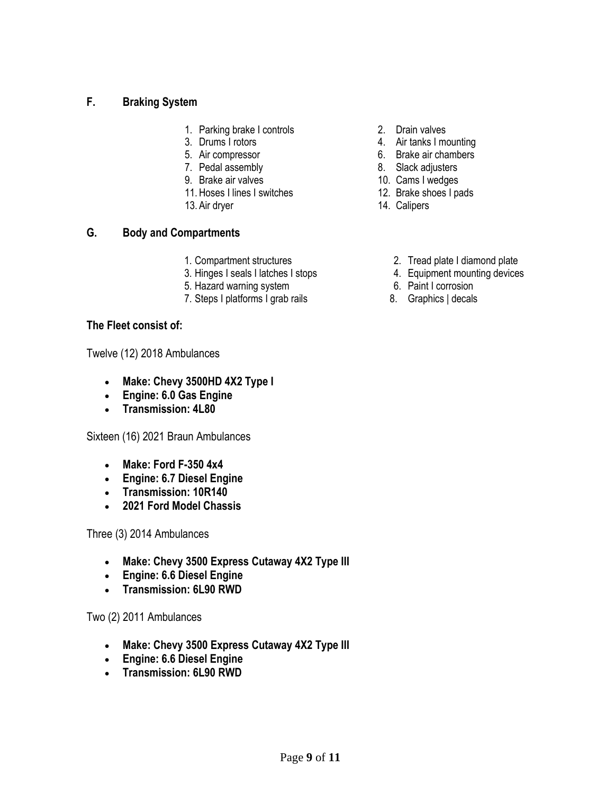# **F. Braking System**

- 1. Parking brake I controls 2. Drain valves
- 
- 
- 
- 
- 11. Hoses I lines I switches 12. Brake shoes I pads
- 13. Air dryer 14. Calipers

# **G. Body and Compartments**

- 
- 3. Hinges I seals I latches I stops 4. Equipment mounting devices
- 5. Hazard warning system 6. Paint I corrosion
- 7. Steps I platforms I grab rails 8. Graphics | decals

# **The Fleet consist of:**

Twelve (12) 2018 Ambulances

- **Make: Chevy 3500HD 4X2 Type I**
- **Engine: 6.0 Gas Engine**
- **Transmission: 4L80**

Sixteen (16) 2021 Braun Ambulances

- **Make: Ford F-350 4x4**
- **Engine: 6.7 Diesel Engine**
- **Transmission: 10R140**
- **2021 Ford Model Chassis**

Three (3) 2014 Ambulances

- **Make: Chevy 3500 Express Cutaway 4X2 Type III**
- **Engine: 6.6 Diesel Engine**
- **Transmission: 6L90 RWD**

# Two (2) 2011 Ambulances

- **Make: Chevy 3500 Express Cutaway 4X2 Type III**
- **Engine: 6.6 Diesel Engine**
- **Transmission: 6L90 RWD**
- 
- 3. Drums I rotors 4. Air tanks I mounting
- 5. Air compressor 6. Brake air chambers
- 7. Pedal assembly 8. Slack adjusters
- 9. Brake air valves 10. Cams I wedges
	-
	-
- 1. Compartment structures 2. Tread plate I diamond plate
	-
	-
	-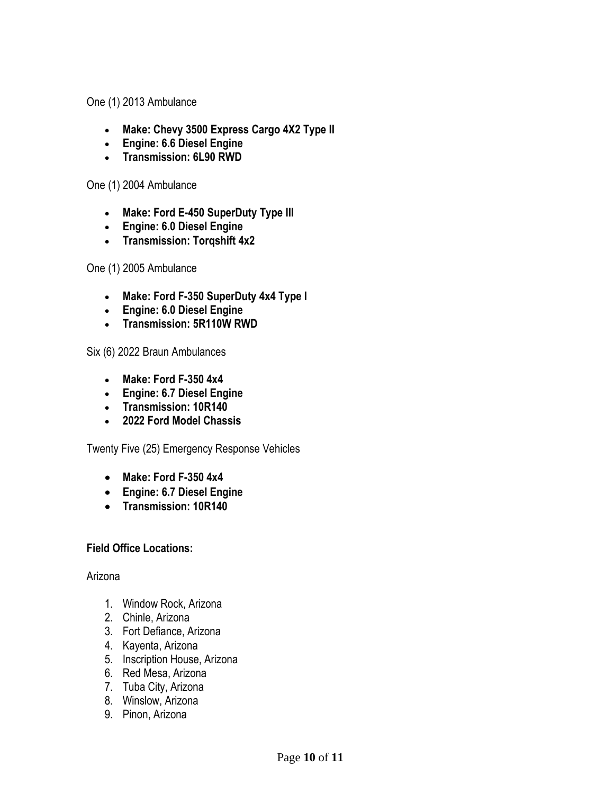One (1) 2013 Ambulance

- **Make: Chevy 3500 Express Cargo 4X2 Type II**
- **Engine: 6.6 Diesel Engine**
- **Transmission: 6L90 RWD**

One (1) 2004 Ambulance

- **Make: Ford E-450 SuperDuty Type III**
- **Engine: 6.0 Diesel Engine**
- **Transmission: Torqshift 4x2**

One (1) 2005 Ambulance

- **Make: Ford F-350 SuperDuty 4x4 Type I**
- **Engine: 6.0 Diesel Engine**
- **Transmission: 5R110W RWD**

Six (6) 2022 Braun Ambulances

- **Make: Ford F-350 4x4**
- **Engine: 6.7 Diesel Engine**
- **Transmission: 10R140**
- **2022 Ford Model Chassis**

Twenty Five (25) Emergency Response Vehicles

- **Make: Ford F-350 4x4**
- **Engine: 6.7 Diesel Engine**
- **Transmission: 10R140**

# **Field Office Locations:**

# Arizona

- 1. Window Rock, Arizona
- 2. Chinle, Arizona
- 3. Fort Defiance, Arizona
- 4. Kayenta, Arizona
- 5. Inscription House, Arizona
- 6. Red Mesa, Arizona
- 7. Tuba City, Arizona
- 8. Winslow, Arizona
- 9. Pinon, Arizona